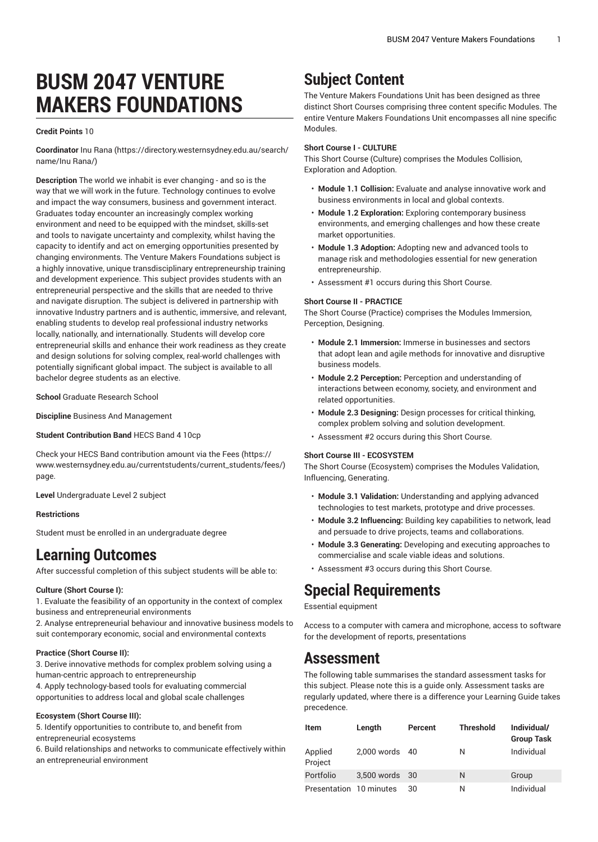# **BUSM 2047 VENTURE MAKERS FOUNDATIONS**

### **Credit Points** 10

**Coordinator** [Inu Rana](https://directory.westernsydney.edu.au/search/name/Inu Rana/) [\(https://directory.westernsydney.edu.au/search/](https://directory.westernsydney.edu.au/search/name/Inu Rana/) [name/Inu Rana/\)](https://directory.westernsydney.edu.au/search/name/Inu Rana/)

**Description** The world we inhabit is ever changing - and so is the way that we will work in the future. Technology continues to evolve and impact the way consumers, business and government interact. Graduates today encounter an increasingly complex working environment and need to be equipped with the mindset, skills-set and tools to navigate uncertainty and complexity, whilst having the capacity to identify and act on emerging opportunities presented by changing environments. The Venture Makers Foundations subject is a highly innovative, unique transdisciplinary entrepreneurship training and development experience. This subject provides students with an entrepreneurial perspective and the skills that are needed to thrive and navigate disruption. The subject is delivered in partnership with innovative Industry partners and is authentic, immersive, and relevant, enabling students to develop real professional industry networks locally, nationally, and internationally. Students will develop core entrepreneurial skills and enhance their work readiness as they create and design solutions for solving complex, real-world challenges with potentially significant global impact. The subject is available to all bachelor degree students as an elective.

**School** Graduate Research School

**Discipline** Business And Management

**Student Contribution Band** HECS Band 4 10cp

Check your HECS Band contribution amount via the [Fees \(https://](https://www.westernsydney.edu.au/currentstudents/current_students/fees/) [www.westernsydney.edu.au/currentstudents/current\\_students/fees/\)](https://www.westernsydney.edu.au/currentstudents/current_students/fees/) page.

**Level** Undergraduate Level 2 subject

### **Restrictions**

Student must be enrolled in an undergraduate degree

## **Learning Outcomes**

After successful completion of this subject students will be able to:

### **Culture (Short Course I):**

1. Evaluate the feasibility of an opportunity in the context of complex business and entrepreneurial environments

2. Analyse entrepreneurial behaviour and innovative business models to suit contemporary economic, social and environmental contexts

### **Practice (Short Course II):**

3. Derive innovative methods for complex problem solving using a human-centric approach to entrepreneurship

4. Apply technology-based tools for evaluating commercial opportunities to address local and global scale challenges

### **Ecosystem (Short Course III):**

5. Identify opportunities to contribute to, and benefit from entrepreneurial ecosystems

6. Build relationships and networks to communicate effectively within an entrepreneurial environment

# **Subject Content**

The Venture Makers Foundations Unit has been designed as three distinct Short Courses comprising three content specific Modules. The entire Venture Makers Foundations Unit encompasses all nine specific Modules.

### **Short Course I - CULTURE**

This Short Course (Culture) comprises the Modules Collision, Exploration and Adoption.

- **Module 1.1 Collision:** Evaluate and analyse innovative work and business environments in local and global contexts.
- **Module 1.2 Exploration:** Exploring contemporary business environments, and emerging challenges and how these create market opportunities.
- **Module 1.3 Adoption:** Adopting new and advanced tools to manage risk and methodologies essential for new generation entrepreneurship.
- Assessment #1 occurs during this Short Course.

### **Short Course II - PRACTICE**

The Short Course (Practice) comprises the Modules Immersion, Perception, Designing.

- **Module 2.1 Immersion:** Immerse in businesses and sectors that adopt lean and agile methods for innovative and disruptive business models.
- **Module 2.2 Perception:** Perception and understanding of interactions between economy, society, and environment and related opportunities.
- **Module 2.3 Designing:** Design processes for critical thinking, complex problem solving and solution development.
- Assessment #2 occurs during this Short Course.

#### **Short Course III - ECOSYSTEM**

The Short Course (Ecosystem) comprises the Modules Validation, Influencing, Generating.

- **Module 3.1 Validation:** Understanding and applying advanced technologies to test markets, prototype and drive processes.
- **Module 3.2 Influencing:** Building key capabilities to network, lead and persuade to drive projects, teams and collaborations.
- **Module 3.3 Generating:** Developing and executing approaches to commercialise and scale viable ideas and solutions.
- Assessment #3 occurs during this Short Course.

# **Special Requirements**

Essential equipment

Access to a computer with camera and microphone, access to software for the development of reports, presentations

### **Assessment**

The following table summarises the standard assessment tasks for this subject. Please note this is a guide only. Assessment tasks are regularly updated, where there is a difference your Learning Guide takes precedence.

| <b>Item</b>             | Length         | Percent | <b>Threshold</b> | Individual/<br><b>Group Task</b> |
|-------------------------|----------------|---------|------------------|----------------------------------|
| Applied<br>Project      | 2,000 words 40 |         | Ν                | Individual                       |
| Portfolio               | 3,500 words 30 |         | N                | Group                            |
| Presentation 10 minutes |                | 30      | Ν                | Individual                       |